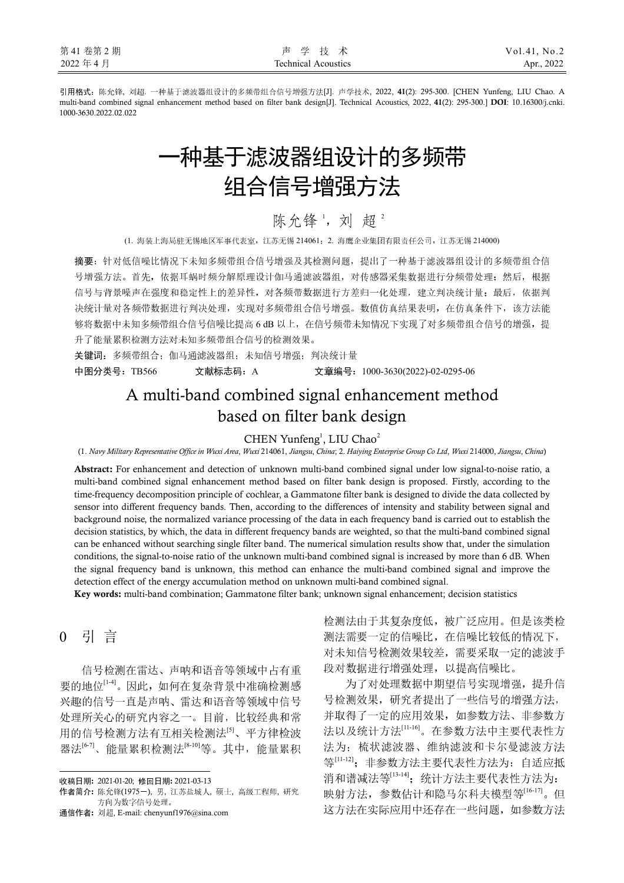引用格式:陈允锋, 刘超. 一种基于滤波器组设计的多频带组合信号增强方法[J]. 声学技术, 2022, **41**(2): 295-300. [CHEN Yunfeng, LIU Chao. A multi-band combined signal enhancement method based on filter bank design[J]. Technical Acoustics, 2022, **41**(2): 295-300.] **DOI**: 10.16300/j.cnki. 1000-3630.2022.02.022

# 一种基于滤波器组设计的多频带 组合信号增强方法

# 陈允锋', 刘超2

(1. 海装上海局驻无锡地区军事代表室,江苏无锡 214061;2. 海鹰企业集团有限责任公司,江苏无锡 214000)

摘要:针对低信噪比情况下未知多频带组合信号增强及其检测问题,提出了一种基于滤波器组设计的多频带组合信 号增强方法。首先,依据耳蜗时频分解原理设计伽马通滤波器组,对传感器采集数据进行分频带处理;然后,根据 信号与背景噪声在强度和稳定性上的差异性,对各频带数据进行方差归一化处理,建立判决统计量;最后,依据判 决统计量对各频带数据进行判决处理,实现对多频带组合信号增强。数值仿真结果表明,在仿真条件下,该方法能 够将数据中未知多频带组合信号信噪比提高 6 dB 以上, 在信号频带未知情况下实现了对多频带组合信号的增强, 提 升了能量累积检测方法对未知多频带组合信号的检测效果。

关键词: 多频带组合; 伽马通滤波器组; 未知信号增强; 判决统计量 中图分类号:TB566 文献标志码:A 文章编号:1000-3630(2022)-02-0295-06

# A multi-band combined signal enhancement method based on filter bank design

 $CHEN$  Yunfeng<sup>1</sup>, LIU Chao<sup>2</sup>

(1. *Navy Military Representative Office in Wuxi Area*, *Wuxi* 214061, *Jiangsu*, *China*; 2. *Haiying Enterprise Group Co Ltd*, *Wuxi* 214000, *Jiangsu*, *China*)

**Abstract:** For enhancement and detection of unknown multi-band combined signal under low signal-to-noise ratio, a multi-band combined signal enhancement method based on filter bank design is proposed. Firstly, according to the time-frequency decomposition principle of cochlear, a Gammatone filter bank is designed to divide the data collected by sensor into different frequency bands. Then, according to the differences of intensity and stability between signal and background noise, the normalized variance processing of the data in each frequency band is carried out to establish the decision statistics, by which, the data in different frequency bands are weighted, so that the multi-band combined signal can be enhanced without searching single filter band. The numerical simulation results show that, under the simulation conditions, the signal-to-noise ratio of the unknown multi-band combined signal is increased by more than 6 dB. When the signal frequency band is unknown, this method can enhance the multi-band combined signal and improve the detection effect of the energy accumulation method on unknown multi-band combined signal.

**Key words:** multi-band combination; Gammatone filter bank; unknown signal enhancement; decision statistics

0 引 言<sup>1</sup>

信号检测在雷达、声呐和语音等领域中占有重 要的地位[1-4]。因此,如何在复杂背景中准确检测感 兴趣的信号一直是声呐、雷达和语音等领域中信号 处理所关心的研究内容之一。目前,比较经典和常 用的信号检测方法有互相关检测法[5]、平方律检波 器法<sup>[6-7]</sup>、能量累积检测法<sup>[8-10]</sup>等。其中,能量累积

通信作者**:** 刘超, E-mail: chenyunf1976@sina.com

检测法由于其复杂度低,被广泛应用。但是该类检 测法需要一定的信噪比,在信噪比较低的情况下, 对未知信号检测效果较差,需要采取一定的滤波手 段对数据进行增强处理,以提高信噪比。

为了对处理数据中期望信号实现增强,提升信 号检测效果,研究者提出了一些信号的增强方法, 并取得了一定的应用效果,如参数方法、非参数方 法以及统计方法[11-16]。在参数方法中主要代表性方 法为:梳状滤波器、维纳滤波和卡尔曼滤波方法 等[11-12]; 非参数方法主要代表性方法为: 自适应抵 消和谱减法等[13-14];统计方法主要代表性方法为: 映射方法,参数估计和隐马尔科夫模型等[16-17]。但 这方法在实际应用中还存在一些问题,如参数方法

 $\overline{a}$ 收稿日期**:** 2021-01-20; 修回日期**:** 2021-03-13

作者简介**:** 陈允锋(1975-), 男, 江苏盐城人, 硕士, 高级工程师, 研究 方向为数字信号处理。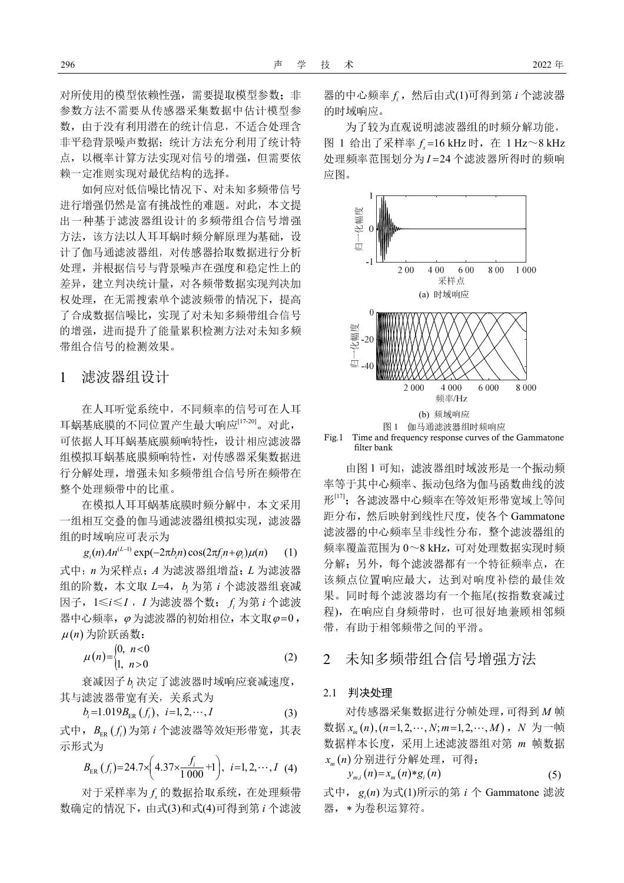对所使用的模型依赖性强,需要提取模型参数;非 参数方法不需要从传感器采集数据中估计模型参 数,由于没有利用潜在的统计信息,不适合处理含 非平稳背景噪声数据;统计方法充分利用了统计特 点,以概率计算方法实现对信号的增强,但需要依 赖一定准则实现对最优结构的选择。

如何应对低信噪比情况下、对未知多频带信号 进行增强仍然是富有挑战性的难题。对此,本文提 出一种基于滤波器组设计的多频带组合信号增强 方法,该方法以人耳耳蜗时频分解原理为基础,设 计了伽马通滤波器组,对传感器拾取数据进行分析 处理,并根据信号与背景噪声在强度和稳定性上的 差异,建立判决统计量,对各频带数据实现判决加 权处理,在无需搜索单个滤波频带的情况下,提高 了合成数据信噪比,实现了对未知多频带组合信号 的增强,进而提升了能量累积检测方法对未知多频 带组合信号的检测效果。

# 1 滤波器组设计

在人耳听觉系统中,不同频率的信号可在人耳 耳蜗基底膜的不同位置产生最大响应[17-20]。对此, 可依据人耳耳蜗基底膜频响特性,设计相应滤波器 组模拟耳蜗基底膜频响特性,对传感器采集数据进 行分解处理,增强未知多频带组合信号所在频带在 整个处理频带中的比重。

在模拟人耳耳蜗基底膜时频分解中,本文采用 一组相互交叠的伽马通滤波器组模拟实现,滤波器 组的时域响应可表示为

 $g_i(n) An^{(L-1)} \exp(-2\pi b_i n) \cos(2\pi f_i n + \varphi_i) \mu(n)$  (1) 式中:*n* 为采样点;*A* 为滤波器组增益;*L* 为滤波器 组的阶数,本文取 *L*=4, *<sup>i</sup> b* 为第 *i* 个滤波器组衰减 因子, 1≤*i≤I*, *I*为滤波器个数; *f*<sub>i</sub>为第*i*个滤波 器中心频率,  $\varphi$  为滤波器的初始相位, 本文取 $\varphi$ =0,  $\mu(n)$ 为阶跃函数:

$$
\mu(n) = \begin{cases} 0, & n < 0 \\ 1, & n > 0 \end{cases} \tag{2}
$$

衰减因子 b<sub>i</sub> 决定了滤波器时域响应衰减速度, 其与滤波器带宽有关,关系式为

$$
b_i = 1.019B_{\text{ER}}(f_i), i = 1, 2, \cdots, I
$$
 (3)

式中,  $B_{\text{FB}}(f_i)$ 为第 *i* 个滤波器等效矩形带宽, 其表 示形式为

$$
B_{\text{ER}}(f_i) = 24.7 \times \left(4.37 \times \frac{f_i}{1000} + 1\right), \ i = 1, 2, \cdots, I \tag{4}
$$

对于采样率为  $f_s$ 的数据拾取系统, 在处理频带 数确定的情况下,由式(3)和式(4)可得到第 *i* 个滤波

器的中心频率  $f_i$ , 然后由式(1)可得到第 *i* 个滤波器 的时域响应。

为了较为直观说明滤波器组的时频分解功能, 图 1 给出了采样率 16 kHz *<sup>s</sup> f* 时,在 1 Hz~8 kHz 处理频率范围划分为 *I* 24 个滤波器所得时的频响 应图。



Fig.1 Time and frequency response curves of the Gammatone filter bank

由图 1 可知,滤波器组时域波形是一个振动频 率等于其中心频率、振动包络为伽马函数曲线的波 形[17];各滤波器中心频率在等效矩形带宽域上等间 距分布,然后映射到线性尺度,使各个 Gammatone 滤波器的中心频率呈非线性分布,整个滤波器组的 频率覆盖范围为 0~8 kHz,可对处理数据实现时频 分解;另外,每个滤波器都有一个特征频率点,在 该频点位置响应最大,达到对响度补偿的最佳效 果。同时每个滤波器均有一个拖尾(按指数衰减过 程),在响应自身频带时,也可很好地兼顾相邻频 带,有助于相邻频带之间的平滑。

## 2 未知多频带组合信号增强方法

#### 2.1 判决处理

对传感器采集数据进行分帧处理,可得到 *M* 帧 数据  $x_m(n)$ , (n=1, 2,  $\cdots$  , N; m=1, 2,  $\cdots$  , M) , N 为一帧 数据样本长度,采用上述滤波器组对第 *m* 帧数据 *<sup>m</sup> x n* 分别进行分解处理,可得:

$$
y_{m,i}(n) = x_m(n) * g_i(n) \tag{5}
$$

式中,  $g_i(n)$ 为式(1)所示的第 *i* 个 Gammatone 滤波 器, \*为卷积运算符。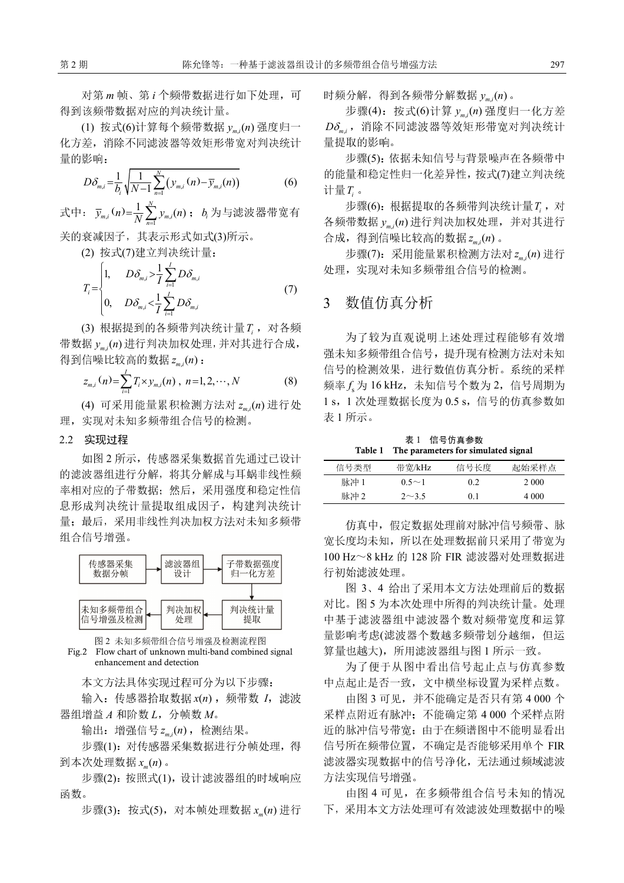对第 *m* 帧、第 *i* 个频带数据进行如下处理,可 得到该频带数据对应的判决统计量。

(1) 按式(6)计算每个频带数据 , ( ) *m i y n* 强度归一 化方差,消除不同滤波器等效矩形带宽对判决统计 量的影响:

$$
D\delta_{m,i} = \frac{1}{b_i} \sqrt{\frac{1}{N-1} \sum_{n=1}^{N} (y_{m,i} (n) - \overline{y}_{m,i} (n))}
$$
(6)

式中:  $\bar{y}_{m,i}(n) = \frac{1}{N} \sum_{n=1}^{N} y_{m,i}$  $\frac{1}{N} \sum_{i=1}^{N} y_{m,i}(n)$  $\overline{y}_{m,i}(n) = \frac{1}{N} \sum_{n=1}^{N} y_{m,i}(n)$ ;  $b_i$ 为与滤波器带宽有

关的衰减因子,其表示形式如式(3)所示。

(2) 按式(7)建立判决统计量:

$$
T_{i} = \begin{cases} 1, & D\delta_{m,i} > \frac{1}{I} \sum_{i=1}^{I} D\delta_{m,i} \\ 0, & D\delta_{m,i} < \frac{1}{I} \sum_{i=1}^{I} D\delta_{m,i} \end{cases}
$$
 (7)

(3) 根据提到的各频带判决统计量*T<sup>i</sup>* ,对各频 带数据  $y_{m,i}$ (n) 进行判决加权处理, 并对其进行合成, 得到信噪比较高的数据 , ( ) *m i z n* :

$$
z_{m,i}(n) = \sum_{i=1}^{I} T_i \times y_{m,i}(n) , n = 1, 2, \cdots, N
$$
 (8)

(4) 可采用能量累积检测方法对 , ( ) *m i z n* 进行处 理,实现对未知多频带组合信号的检测。

## 2.2 实现过程

如图 2 所示,传感器采集数据首先通过已设计 的滤波器组进行分解,将其分解成与耳蜗非线性频 率相对应的子带数据;然后,采用强度和稳定性信 息形成判决统计量提取组成因子,构建判决统计 量;最后,采用非线性判决加权方法对未知多频带 组合信号增强。



图 2 未知多频带组合信号增强及检测流程图 Fig.2 Flow chart of unknown multi-band combined signal enhancement and detection

本文方法具体实现过程可分为以下步骤:

输入: 传感器拾取数据  $x(n)$ , 频带数 *I*, 滤波 器组增益  $A$  和阶数  $L$ , 分帧数  $M$ 。

输出:增强信号 , ( ) *m i z n* ,检测结果。

步骤(1): 对传感器采集数据进行分帧处理, 得 到本次处理数据 ( ) *<sup>m</sup> x n* 。

步骤(2):按照式(1),设计滤波器组的时域响应 函数。

步骤(3):按式(5),对本帧处理数据 ( ) *<sup>m</sup> x n* 进行

时频分解,得到各频带分解数据 , ( ) *m i y n* 。

步骤(4): 按式(6)计算  $y_{\scriptscriptstyle m,i}$ (n) 强度归一化方差 Dδ<sub>mi</sub>, 消除不同滤波器等效矩形带宽对判决统计 量提取的影响。

步骤(5):依据未知信号与背景噪声在各频带中 的能量和稳定性归一化差异性,按式(7)建立判决统 计量*T<sup>i</sup>* 。

步骤(6): 根据提取的各频带判决统计量*T*;, 对 各频带数据  $y_{\scriptscriptstyle m,i}$ (n) 进行判决加权处理, 并对其进行 合成,得到信噪比较高的数据 , ( ) *m i z n* 。

步骤(7):采用能量累积检测方法对 , ( ) *m i z n* 进行 处理,实现对未知多频带组合信号的检测。

# 3 数值仿真分析

为了较为直观说明上述处理过程能够有效增 强未知多频带组合信号,提升现有检测方法对未知 信号的检测效果,进行数值仿真分析。系统的采样 频率 $f_{\rm s}$ 为 16 kHz,未知信号个数为 2,信号周期为 1 s, 1 次处理数据长度为 0.5 s, 信号的仿真参数如 表 1 所示。

表 1 信号仿真参数 **Table 1 The parameters for simulated signal** 

| 信号类型 | 带宽/kHz       | 信号长度 | 起始采样点 |
|------|--------------|------|-------|
| 脉冲 1 | $0.5 \sim 1$ | 0.2  | 2.000 |
| 脉冲 2 | $2 \sim 3.5$ | 0.1  | 4.000 |

仿真中,假定数据处理前对脉冲信号频带、脉 宽长度均未知,所以在处理数据前只采用了带宽为 100 Hz~8 kHz 的 128 阶 FIR 滤波器对处理数据进 行初始滤波处理。

图 3、4 给出了采用本文方法处理前后的数据 对比。图 5 为本次处理中所得的判决统计量。处理 中基于滤波器组中滤波器个数对频带宽度和运算 量影响考虑(滤波器个数越多频带划分越细, 但运 算量也越大),所用滤波器组与图 1 所示一致。

为了便于从图中看出信号起止点与仿真参数 中点起止是否一致,文中横坐标设置为采样点数。

由图 3 可见,并不能确定是否只有第 4 000 个 采样点附近有脉冲;不能确定第 4 000 个采样点附 近的脉冲信号带宽;由于在频谱图中不能明显看出 信号所在频带位置,不确定是否能够采用单个 FIR 滤波器实现数据中的信号净化,无法通过频域滤波 方法实现信号增强。

由图 4 可见,在多频带组合信号未知的情况 下,采用本文方法处理可有效滤波处理数据中的噪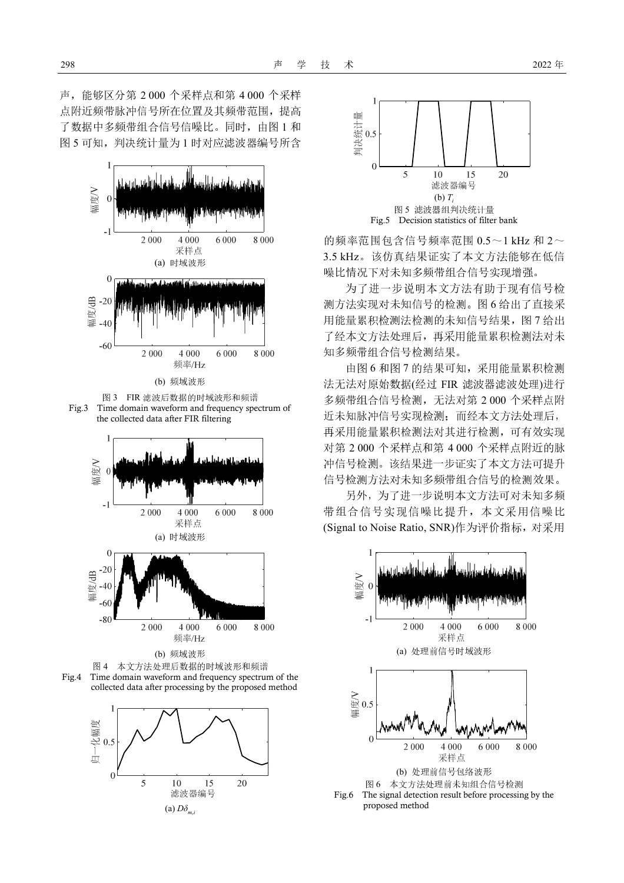声,能够区分第 2 000 个采样点和第 4 000 个采样 点附近频带脉冲信号所在位置及其频带范围,提高 了数据中多频带组合信号信噪比。同时,由图 1 和 图 5 可知,判决统计量为 1 时对应滤波器编号所含



图 3 FIR 滤波后数据的时域波形和频谱 Fig.3 Time domain waveform and frequency spectrum of the collected data after FIR filtering



(b) 频域波形







的频率范围包含信号频率范围 0.5~1 kHz 和 2~ 3.5 kHz。该仿真结果证实了本文方法能够在低信 噪比情况下对未知多频带组合信号实现增强。

为了进一步说明本文方法有助于现有信号检 测方法实现对未知信号的检测。图 6 给出了直接采 用能量累积检测法检测的未知信号结果,图 7 给出 了经本文方法处理后,再采用能量累积检测法对未 知多频带组合信号检测结果。

由图 6 和图 7 的结果可知,采用能量累积检测 法无法对原始数据(经过 FIR 滤波器滤波处理)进行 多频带组合信号检测,无法对第 2 000 个采样点附 近未知脉冲信号实现检测;而经本文方法处理后, 再采用能量累积检测法对其进行检测,可有效实现 对第 2 000 个采样点和第 4 000 个采样点附近的脉 冲信号检测。该结果进一步证实了本文方法可提升 信号检测方法对未知多频带组合信号的检测效果。

另外,为了进一步说明本文方法可对未知多频 带组合信号实现信噪比提升,本文采用信噪比 (Signal to Noise Ratio, SNR)作为评价指标, 对采用



Fig.6 The signal detection result before processing by the proposed method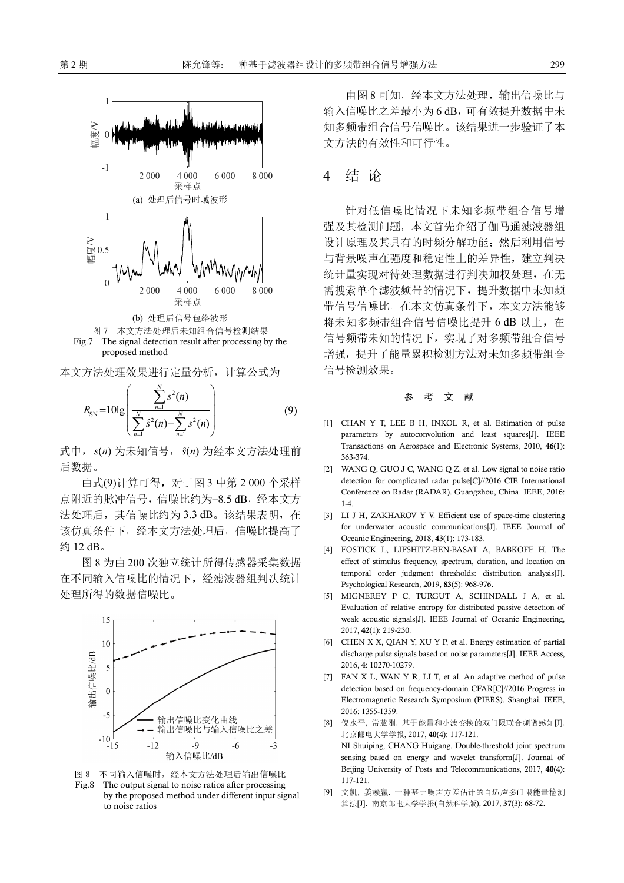

The signal detection result after processing by the proposed method

本文方法处理效果进行定量分析,计算公式为

$$
R_{\rm SN} = 10 \lg \left( \frac{\sum_{n=1}^{N} s^2(n)}{\sum_{n=1}^{N} \hat{s}^2(n) - \sum_{n=1}^{N} s^2(n)} \right) \tag{9}
$$

式中,  $s(n)$  为未知信号,  $\hat{s}(n)$  为经本文方法处理前 后数据。

由式(9)计算可得,对于图 3 中第 2 000 个采样 点附近的脉冲信号,信噪比约为-8.5 dB,经本文方 法处理后, 其信噪比约为 3.3 dB。该结果表明, 在 该仿真条件下,经本文方法处理后,信噪比提高了 约 12 dB。

图 8 为由 200 次独立统计所得传感器采集数据 在不同输入信噪比的情况下,经滤波器组判决统计 处理所得的数据信噪比。





由图 8 可知, 经本文方法处理, 输出信噪比与 输入信噪比之差最小为 6 dB,可有效提升数据中未 知多频带组合信号信噪比。该结果进一步验证了本 文方法的有效性和可行性。

# 4 结 论

针对低信噪比情况下未知多频带组合信号增 强及其检测问题,本文首先介绍了伽马通滤波器组 设计原理及其具有的时频分解功能;然后利用信号 与背景噪声在强度和稳定性上的差异性,建立判决 统计量实现对待处理数据进行判决加权处理,在无 需搜索单个滤波频带的情况下,提升数据中未知频 带信号信噪比。在本文仿真条件下,本文方法能够 将未知多频带组合信号信噪比提升 6 dB 以上, 在 信号频带未知的情况下,实现了对多频带组合信号 增强,提升了能量累积检测方法对未知多频带组合 信号检测效果。

#### 文 献

- [1] CHAN Y T, LEE B H, INKOL R, et al. Estimation of pulse parameters by autoconvolution and least squares[J]. IEEE Transactions on Aerospace and Electronic Systems, 2010, **46**(1): 363-374.
- [2] WANG Q, GUO J C, WANG Q Z, et al. Low signal to noise ratio detection for complicated radar pulse[C]//2016 CIE International Conference on Radar (RADAR). Guangzhou, China. IEEE, 2016: 1-4.
- [3] LI J H, ZAKHAROV Y V. Efficient use of space-time clustering for underwater acoustic communications[J]. IEEE Journal of Oceanic Engineering, 2018, **43**(1): 173-183.
- [4] FOSTICK L, LIFSHITZ-BEN-BASAT A, BABKOFF H. The effect of stimulus frequency, spectrum, duration, and location on temporal order judgment thresholds: distribution analysis[J]. Psychological Research, 2019, **83**(5): 968-976.
- [5] MIGNEREY P C, TURGUT A, SCHINDALL J A, et al. Evaluation of relative entropy for distributed passive detection of weak acoustic signals[J]. IEEE Journal of Oceanic Engineering, 2017, **42**(1): 219-230.
- [6] CHEN X X, QIAN Y, XU Y P, et al. Energy estimation of partial discharge pulse signals based on noise parameters[J]. IEEE Access, 2016, **4**: 10270-10279.
- [7] FAN X L, WAN Y R, LI T, et al. An adaptive method of pulse detection based on frequency-domain CFAR[C]//2016 Progress in Electromagnetic Research Symposium (PIERS). Shanghai. IEEE, 2016: 1355-1359.
- [8] 倪水平, 常慧刚. 基于能量和小波变换的双门限联合频谱感知[J]. 北京邮电大学学报, 2017, **40**(4): 117-121. NI Shuiping, CHANG Huigang. Double-threshold joint spectrum sensing based on energy and wavelet transform[J]. Journal of Beijing University of Posts and Telecommunications, 2017, **40**(4): 117-121.
- [9] 文凯, 姜赖赢. 一种基于噪声方差估计的自适应多门限能量检测 算法[J]. 南京邮电大学学报(自然科学版), 2017, **37**(3): 68-72.